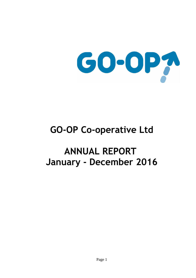

# **GO-OP Co-operative Ltd**

# **ANNUAL REPORT January - December 2016**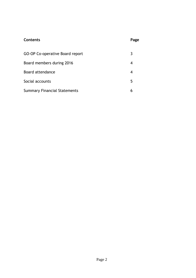# **Contents** Page

| GO-OP Co-operative Board report     |  |
|-------------------------------------|--|
| Board members during 2016           |  |
| Board attendance                    |  |
| Social accounts                     |  |
| <b>Summary Financial Statements</b> |  |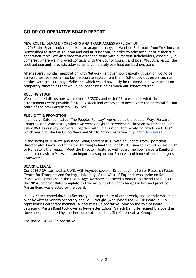# **GO-OP CO-OPERATIVE BOARD REPORT**

# **NEW ROUTE, DEMAND FORECASTS AND TRACK ACCESS APPLICATION**

In 2016, the Board took the decision to adapt our flagship Mainline Rail route from Westbury to Birmingham to start at Taunton and end at Nuneaton, in order to take account of higher trip generation rates. We discussed this extended route with numerous stakeholders, especially in Somerset where we improved contacts with the County Council and local MPs. As a result, the updated demand forecasts allowed us to completely overhaul our business plan.

After several months' negotiation with Network Rail over how capacity utilisation would be assessed we received a free but inaccurate report from them, full of obvious errors such as clashes with trains through Melksham which would obviously be re-timed, and with trains on temporary timetables that would no longer be running when our service started.

## **ROLLING STOCK**

We conducted discussions with several ROSCOs and with CAF to establish what finance arrangements were possible for rolling stock and we began to investigate the potential for our route of the new Porterbrook 319 Flex.

## **PUBLICITY & PROMOTION**

In January, Kate facilitated 'The Peoples Railway' workshop at the popular Ways Forward Conference in Manchester, where we were delighted to welcome Christian Wolmar and John Tilley RMT as our key speakers. Together with Jeff Turner, Kate wrote an article on GO-OP which was published in Co-op News and Stir to Action magazine<http://bit.ly/2swrXTu>

In the spring of 2016 we published Going Forward #10 – with an update from Operations Director Alex Lawrie detailing the thinking behind the Board's decision to extend our Route #1 to Nuneaton, the regular 'Meet the Director' feature, with Board member Barbara Rainford and a brief visit to Melksham, an important stop on our Route#1 and home of our colleagues Transwilts CIC.

## **BOARD & LEGAL**

Our 2016 AGM was held at UWE, with keynote speaker Dr Juliet Jain, Senior Research Fellow, Centre for Transport and Society, University of the West of England, who spoke on Rail Passengers' Time Use in the Digital Age. Members approved a motion to amend the Rules to the 2014 Somerset Rules template to take account of recent changes in law and practice. Martin Bond was elected to the Board.

In July Kate stepped down as Secretary due to pressure of other work, and her role was taken over by Alex as Society Secretary and Jo Burroughs (who joined the GO-OP Board in July, representing corporate member, Midcounties Co-operative) took on the role of Board Secretary. Martin Bond took over as Newsletter Editor. Gareth Dempster joined the Board in November, nominated by another corporate member, The Co-operative Group.

The Board, GO-OP Co-operative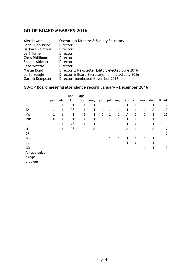# **GO-OP BOARD MEMBERS 2016**

| <b>Alex Lawrie</b>      | Operations Director & Society Secretary         |
|-------------------------|-------------------------------------------------|
| Jean Nunn-Price         | <b>Director</b>                                 |
| Barbara Rainford        | Director                                        |
| Jeff Turner             | Director                                        |
| <b>Chris Phillimore</b> | Director                                        |
| Sandra Aldworth         | Director                                        |
| <b>Kate Whittle</b>     | Director                                        |
| Martin Bond             | Director & Newsletter Editor, elected June 2016 |
| Jo Burroughs            | Director & Board Secretary, nominated July 2016 |
| Gareth Dempster         | Director, nominated November 2016               |
|                         |                                                 |

# **GO-OP Board meeting attendance record January – December 2016**

|                 | jan | feb | apr<br>(1)  | apr<br>(2)   | may          | jun | jul | aug          | sep         | oct         | nov | dec | <b>TOTAL</b>   |
|-----------------|-----|-----|-------------|--------------|--------------|-----|-----|--------------|-------------|-------------|-----|-----|----------------|
| AL              | 1   | 1   | 1           | 1            | 1            | 1   | 1   | 1            | 1           | 1           | 1   | 1   | 12             |
| <b>SA</b>       | 1   | 1   | $A^*$       | 1            | 1            | 1   | 1   | 1            | 1           | 1           | 1   | A   | 10             |
| <b>KW</b>       | 1   | 1   | 1           | 1            | $\mathbf{1}$ | 1   | 1   | $\mathbf{1}$ | A           | 1           | 1   | 1   | 11             |
| <b>JNP</b>      | A   | 1   | $\mathbf 1$ | $\mathbf{1}$ | $\mathbf{1}$ | 1   | 1   | 1            | $\mathbf 1$ | 1           | 1   | Α   | 10             |
| <b>BR</b>       | 1   | 1   | $A^*$       | 1            | $\mathbf{1}$ | 1   | 1   | 1            | 1           | A           | 1   | 1   | 10             |
| JT              | 1   | 1   | $A^*$       | Α            | A            | 1   | 1   | 1            | A           | $\mathbf 1$ | 1   | A   | 7              |
| <b>CP</b>       |     |     |             |              |              |     |     |              |             |             |     |     | 0              |
| MB              |     |     |             |              |              |     | 1   | 1            | 1           | 1           | 1   | 1   | 6              |
| JB              |     |     |             |              |              |     | 1   | 1            | 1           | A           | 1   | 1   | 5              |
| GD              |     |     |             |              |              |     |     |              |             |             | 1   | 1   | $\overline{2}$ |
| $A =$ apologies |     |     |             |              |              |     |     |              |             |             |     |     |                |
| *skype          |     |     |             |              |              |     |     |              |             |             |     |     |                |

problem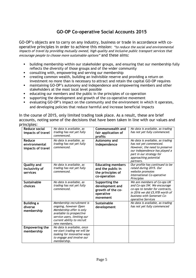# **GO-OP Co-operative Social Accounts 2015**

GO-OP's objects are to carry on any industry, business or trade in accordance with cooperative principles in order to achieve this mission: "to reduce the social and environmental impacts of travel by providing mutually owned, high quality and inclusive public transport services that encourage people to choose more sustainable options" and these aims:

- building membership within our stakeholder groups, and ensuring that our membership fully reflects the diversity of those groups and of the wider community
- consulting with, empowering and serving our membership
- creating common wealth, building an indivisible reserve and providing a return on investment no more than is necessary to attract and retain the capital GO-OP requires
- maintaining GO-OP's autonomy and independence and empowering members and other stakeholders at the most local level possible
- educating our members and the public in the principles of co-operation
- supporting the development and growth of the co-operative movement
- evaluating GO-OP's impact on the community and the environment in which it operates, and developing policies that reduce harmful and increase beneficial impacts

In the course of 2015, only limited trading took place. As a result, these are brief accounts, noting some of the decisions that have been taken in line with our values and principles:

| Reduce social<br>impacts of travel<br>Reduce<br>environmental<br>impacts of travel | No data is available, as<br>trading has not yet fully<br>commenced.<br>No data is available, as<br>trading has not yet fully<br>commenced.                                                                            | Commonwealth and<br>fair application of<br>profits<br>Autonomy and<br>independence                                                                                    | No data is available, as trading<br>has not yet fully commenced.<br>No data is available, as trading<br>has not yet commenced.<br>However, the need to preserve<br>our independence has played a<br>part in our strategy for<br>approaching potential<br>partners.                                                |
|------------------------------------------------------------------------------------|-----------------------------------------------------------------------------------------------------------------------------------------------------------------------------------------------------------------------|-----------------------------------------------------------------------------------------------------------------------------------------------------------------------|-------------------------------------------------------------------------------------------------------------------------------------------------------------------------------------------------------------------------------------------------------------------------------------------------------------------|
| <b>Quality and</b><br>inclusivity of<br>services<br><b>Sustainable</b><br>choices  | No data is available, as<br>trading has not yet fully<br>commenced.<br>No data is available, as<br>trading has not yet fully<br>commenced.                                                                            | <b>Educating members</b><br>and the public in<br>the principles of<br>co-operation<br>Supporting the<br>development and<br>growth of the co-<br>operative<br>movement | Our profile has continued to be<br>raised during 2015. Our<br>website promotes<br>International Co-operative<br>Principles<br>We are members of Co-ops UK<br>and Co-ops SW. We encourage<br>co-ops to tender for contracts,<br>in 2016 we did £5,978 worth of<br>business with Somerset Co-<br>operative Services |
| <b>Building a</b><br>diverse<br>membership<br><b>Empowering the</b>                | Membership recruitment is<br>ongoing, however Open<br>Membership offer is only<br>available to prospective<br>service users, limiting our<br>current ability to recruit<br>new members.<br>No data is available, once | Sustainable<br>development                                                                                                                                            | No data is available, as trading<br>has not yet fully commenced                                                                                                                                                                                                                                                   |
| membership                                                                         | we start trading we will be<br>looking for innovative ways<br>to engage and involve our<br>membership.                                                                                                                |                                                                                                                                                                       |                                                                                                                                                                                                                                                                                                                   |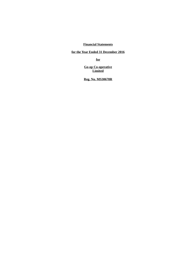## **Financial Statements**

**for the Year Ended 31 December 2016**

**for**

**Go-op Co-operative Limited**

**Reg. No. MS30678R**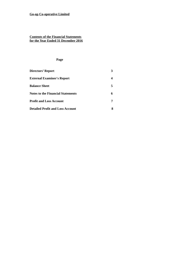#### **Contents of the Financial Statements for the Year Ended 31 December 2016**

#### **Page**

| Directors' Report                        |   |
|------------------------------------------|---|
| <b>External Examiner's Report</b>        |   |
| <b>Balance Sheet</b>                     | 5 |
| <b>Notes to the Financial Statements</b> | 6 |
| <b>Profit and Loss Account</b>           |   |
| <b>Detailed Profit and Loss Account</b>  |   |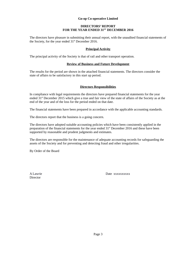#### **DIRECTORS' REPORT FOR THE YEAR ENDED 31ST DECEMBER 2016**

The directors have pleasure in submitting their annual report, with the unaudited financial statements of the Society, for the year ended 31<sup>st</sup> December 2016.

#### **Principal Activity**

The principal activity of the Society is that of rail and other transport operation.

#### **Review of Business and Future Development**

The results for the period are shown in the attached financial statements. The directors consider the state of affairs to be satisfactory in this start up period.

#### **Directors Responsibilities**

In compliance with legal requirements the directors have prepared financial statements for the year ended  $31<sup>st</sup>$  December 2015 which give a true and fair view of the state of affairs of the Society as at the end of the year and of the loss for the period ended on that date.

The financial statements have been prepared in accordance with the applicable accounting standards.

The directors report that the business is a going concern.

The directors have adopted suitable accounting policies which have been consistently applied in the preparation of the financial statements for the year ended 31<sup>st</sup> December 2016 and these have been supported by reasonable and prudent judgments and estimates.

The directors are responsible for the maintenance of adequate accounting records for safeguarding the assets of the Society and for preventing and detecting fraud and other irregularities.

By Order of the Board

Director

A Lawrie Date xxxxxxxxxx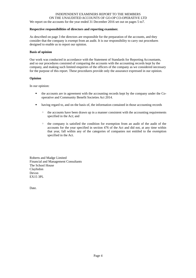#### INDEPENDENT EXAMINERS REPORT TO THE MEMBERS ON THE UNAUDITED ACCOUNTS OF GO-OP CO-OPERATIVE LTD We report on the accounts for the year ended 31 December 2016 set out on pages 5 to7.

#### **Respective responsibilities of directors and reporting examiner.**

As described on page 3 the directors are responsible for the preparation of the accounts, and they consider that the company is exempt from an audit. It is our responsibility to carry out procedures designed to enable us to report our opinion.

#### **Basis of opinion**

Our work was conducted in accordance with the Statement of Standards for Reporting Accountants, and so our procedures consisted of comparing the accounts with the accounting records kept by the company, and making such limited enquiries of the officers of the company as we considered necessary for the purpose of this report. These procedures provide only the assurance expressed in our opinion.

#### **Opinion**

In our opinion:

- the accounts are in agreement with the accounting records kept by the company under the Cooperative and Community Benefit Societies Act 2014.
- having regard to, and on the basis of, the information contained in those accounting records
	- the accounts have been drawn up in a manner consistent with the accounting requirements specified in the Act; and
	- the company is satisfied the condition for exemption from an audit of the audit of the accounts for the year specified in section 476 of the Act and did not, at any time within that year, fall within any of the categories of companies not entitled to the exemption specified in the Act.

Roberts and Madge Limited Financial and Management Consultants The School House Clayhidon Devon EX15 3PL

Date.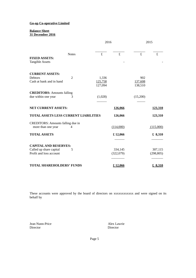#### **Balance Sheet 31 December 2016**

|                                                                                    |                | 2016                        |                      | 2015                      |                       |  |
|------------------------------------------------------------------------------------|----------------|-----------------------------|----------------------|---------------------------|-----------------------|--|
| <b>FIXED ASSETS:</b><br><b>Tangible Assets</b>                                     | <b>Notes</b>   | £                           | £                    | £                         | £                     |  |
| <b>CURRENT ASSETS:</b><br><b>Debtors</b><br>Cash at bank and in hand               | $\overline{2}$ | 1,336<br>125,758<br>127,094 |                      | 902<br>137,608<br>138,510 |                       |  |
| <b>CREDITORS: Amounts falling</b><br>due within one year                           | З              | (1,028)                     |                      | (15,200)                  |                       |  |
| <b>NET CURRENT ASSETS:</b>                                                         |                |                             | 126,066              |                           | 123,310               |  |
| <b>TOTAL ASSETS LESS CURRENT LIABILITIES</b>                                       |                |                             | 126,066              |                           | 123,310               |  |
| <b>CREDITORS: Amounts falling due in</b><br>more than one year                     | 4              |                             | (114,000)            |                           | (115,000)             |  |
| <b>TOTAL ASSETS</b>                                                                |                |                             | £12,066              |                           | £ 8,310               |  |
| <b>CAPITAL AND RESERVES:</b><br>Called up share capital<br>Profit and loss account | 5              |                             | 334,145<br>(322,079) |                           | 307,115<br>(298, 805) |  |
| <b>TOTAL SHAREHOLDERS' FUNDS</b>                                                   |                |                             | £12,066              |                           | £ 8,310               |  |

These accounts were approved by the board of directors on xxxxxxxxxxxx and were signed on its behalf by

Jean Nunn-Price Alex Lawrie Alex Lawrie Alex Lawrie Alex Lawrie Alex Lawrie Alex Lawrie Alex Lawrie Alex Lawrie

Director

Page 5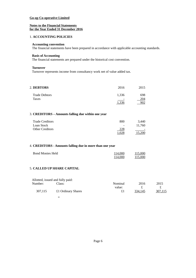#### **Notes to the Financial Statements for the Year Ended 31 December 2016**

#### 1. **ACCOUNTING POLICIES**

#### **Accounting convention**

The financial statements have been prepared in accordance with applicable accounting standards.

#### **Basis of Accounting**

The financial statements are prepared under the historical cost convention.

#### **Turnover**

Turnover represents income from consultancy work net of value added tax.

| <b>2. DEBTORS</b>    | 2016  | 2015 |
|----------------------|-------|------|
| <b>Trade Debtors</b> | 1,336 | 698  |
| Taxes                | -     | 204  |
|                      | 1.336 |      |

### 3. **CREDITORS – Amounts falling due within one year**

| <b>Trade Creditors</b> | 800                      | 3.440                    |
|------------------------|--------------------------|--------------------------|
| Loan Stock             | $\overline{\phantom{a}}$ | 11.760                   |
| <b>Other Creditors</b> | 228                      | $\overline{\phantom{0}}$ |
|                        | 1,028                    | 15,200                   |

#### 4. **CREDITORS - Amounts falling due in more than one year**

| <b>Bond Monies Held</b> | 114,000 | 115,000 |
|-------------------------|---------|---------|
|                         | 114,000 | 115,000 |

## 5. **CALLED UP SHARE CAPITAL**

|         | Allotted, issued and fully paid: |         |         |         |
|---------|----------------------------------|---------|---------|---------|
| Number: | Class:                           | Nominal | 2016    | 2015    |
|         |                                  | value:  |         |         |
| 307,115 | £1 Ordinary Shares               | £1      | 334,145 | 307,115 |
|         |                                  |         |         |         |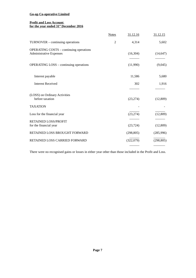#### **Profit and Loss Account for the year ended 31st December 2016**

|                                                                                  | <b>Notes</b>   | 31.12.16   | 31.12.15   |
|----------------------------------------------------------------------------------|----------------|------------|------------|
| TURNOVER - continuing operations                                                 | $\overline{2}$ | 4,314      | 5,602      |
| <b>OPERATING COSTS - continuing operations</b><br><b>Administrative Expenses</b> |                | (16, 304)  | (14, 647)  |
| <b>OPERATING LOSS - continuing operations</b>                                    |                | (11,990)   | (9,045)    |
| Interest payable                                                                 |                | 11,586     | 5,680      |
| <b>Interest Received</b>                                                         |                | 302        | 1,916      |
| (LOSS) on Ordinary Activities<br>before taxation                                 |                | (23, 274)  | (12,809)   |
| <b>TAXATION</b>                                                                  |                |            |            |
| Loss for the financial year                                                      |                | (23, 274)  | (12,809)   |
| <b>RETAINED LOSS/PROFIT</b><br>for the financial year                            |                | (23, 724)  | (12,809)   |
| RETAINED LOSS BROUGHT FORWARD                                                    |                | (298, 805) | (285, 996) |
| RETAINED LOSS CARRIED FORWARD                                                    |                | (322,079)  | (298, 805) |
|                                                                                  |                |            |            |

There were no recognised gains or losses in either year other than those included in the Profit and Loss.